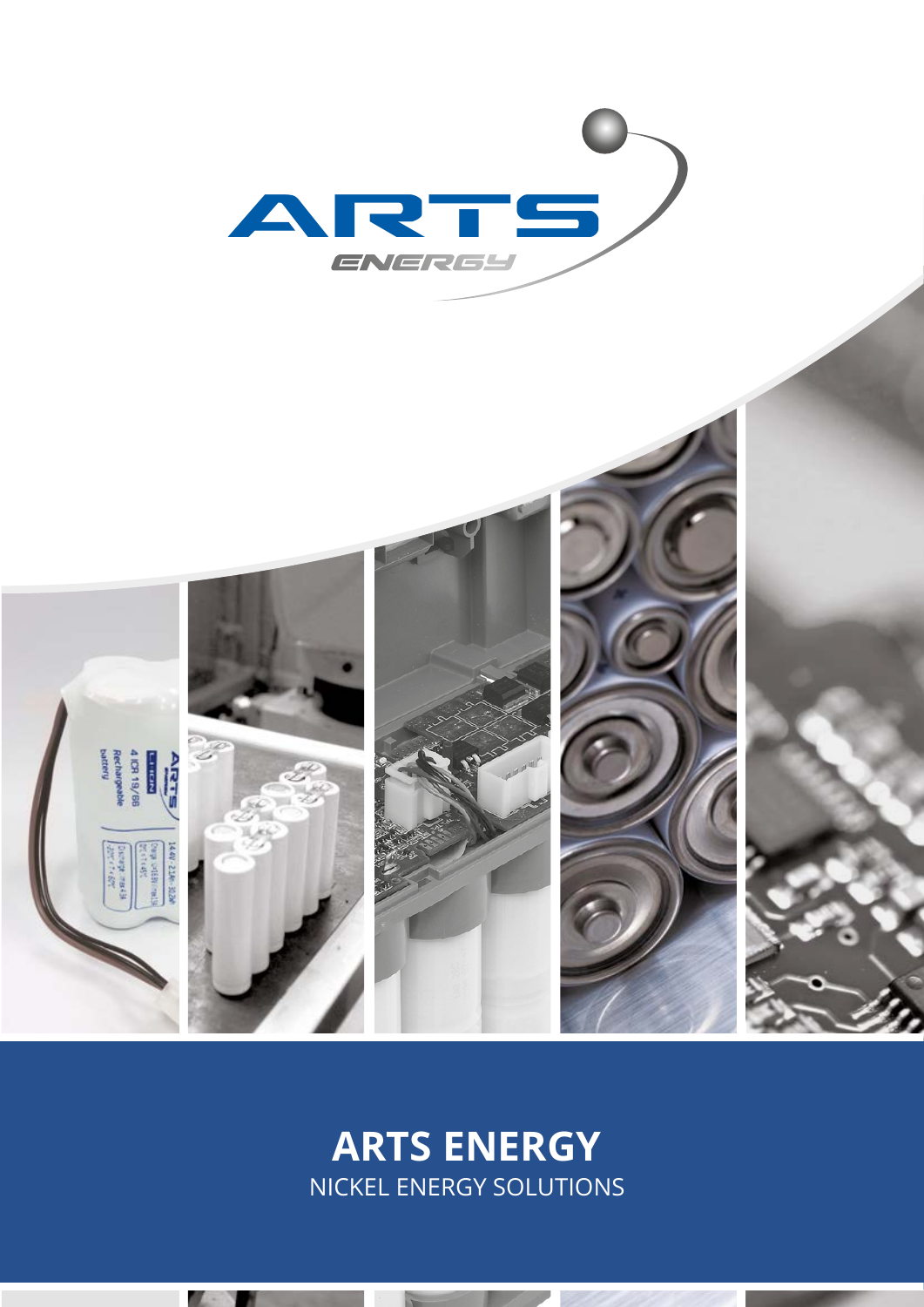



## **ARTS ENERGY**  NICKEL ENERGY SOLUTIONS

**SALES AND**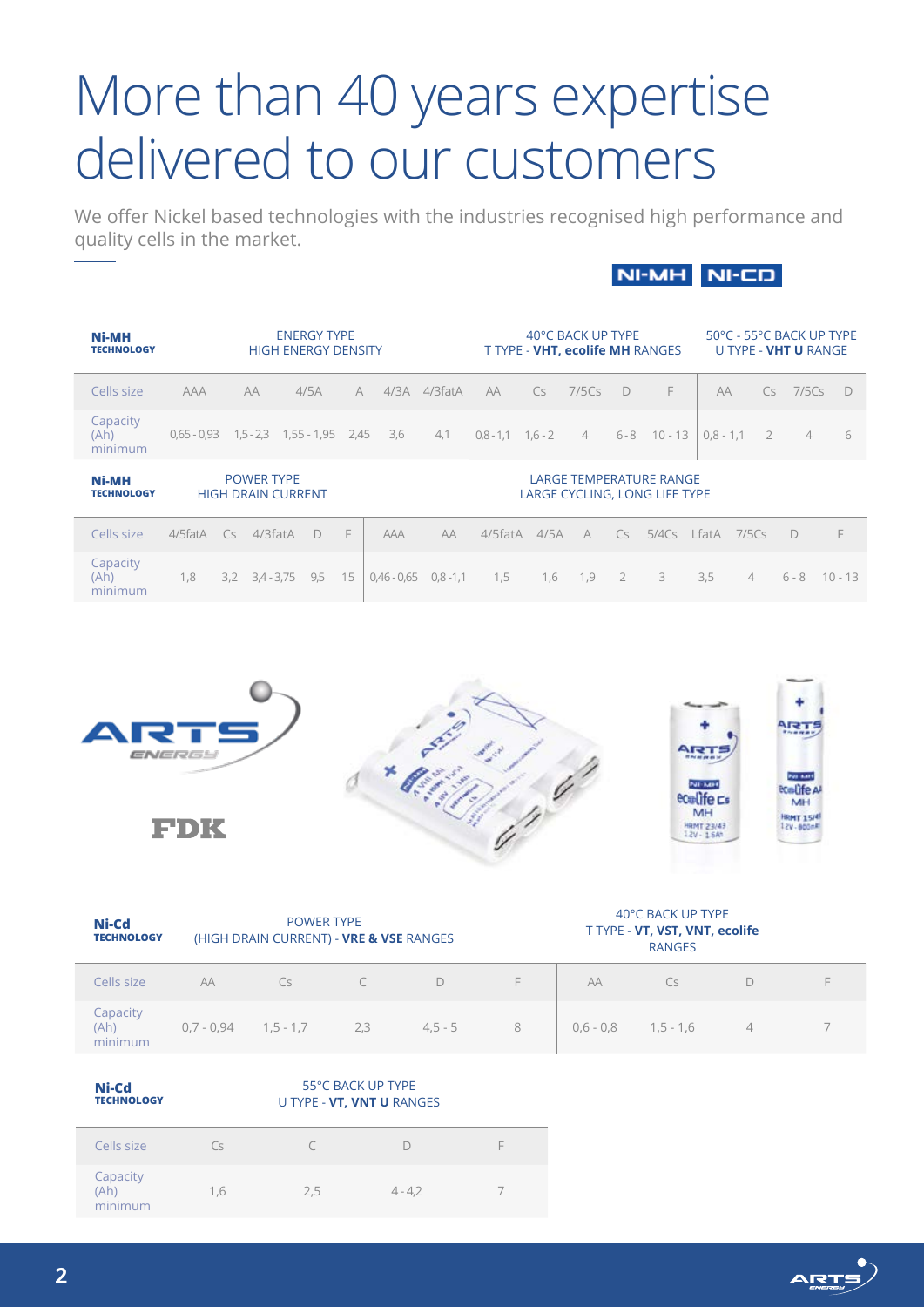# More than 40 years expertise delivered to our customers

We offer Nickel based technologies with the industries recognised high performance and quality cells in the market.

## NI-MH NI-CD

| <b>Ni-MH</b><br><b>TECHNOLOGY</b> |               | <b>ENERGY TYPE</b><br><b>HIGH ENERGY DENSITY</b> |                                                |                                |    |               | 40°C BACK UP TYPE<br><b>T TYPE - VHT, ecolife MH RANGES</b> |                     |      |                |                | 50°C - 55°C BACK UP TYPE<br>U TYPE - <b>VHT U</b> RANGE         |             |                |                |                |           |
|-----------------------------------|---------------|--------------------------------------------------|------------------------------------------------|--------------------------------|----|---------------|-------------------------------------------------------------|---------------------|------|----------------|----------------|-----------------------------------------------------------------|-------------|----------------|----------------|----------------|-----------|
| Cells size                        | <b>AAA</b>    |                                                  | AA                                             | 4/5A                           | A  | 4/3A          | 4/3fatA                                                     | AA                  | Cs   | 7/5Cs          | $\Box$         | F                                                               | AA          |                | Cs.            | 7/5Cs          | - D       |
| Capacity<br>(Ah)<br>minimum       | $0.65 - 0.93$ |                                                  |                                                | $1,5 - 2,3$ $1,55 - 1,95$ 2,45 |    | 3,6           | 4,1                                                         | $0.8 - 1.1$ 1.6 - 2 |      | $\overline{4}$ |                | $6 - 8$ 10 - 13                                                 | $0.8 - 1.1$ |                | $\overline{2}$ | $\overline{4}$ | 6         |
| <b>Ni-MH</b><br><b>TECHNOLOGY</b> |               |                                                  | <b>POWER TYPE</b><br><b>HIGH DRAIN CURRENT</b> |                                |    |               |                                                             |                     |      |                |                | <b>LARGE TEMPERATURE RANGE</b><br>LARGE CYCLING, LONG LIFE TYPE |             |                |                |                |           |
| Cells size                        | 4/5fatA       | Cs                                               | $4/3$ fat $A$                                  | $\Box$                         | E  | <b>AAA</b>    | AA                                                          | 4/5fatA             | 4/5A | $\forall$      | Cs             | $5/4Cs$ LfatA $7/5Cs$                                           |             |                | D              |                | F         |
| Capacity<br>(Ah)<br>minimum       | 1,8           |                                                  | $3,2$ $3,4$ - $3,75$                           | 9,5                            | 15 | $0,46 - 0,65$ | $0,8 - 1,1$                                                 | 1,5                 | 1,6  | 1,9            | 2 <sup>7</sup> | 3                                                               | 3,5         | $\overline{4}$ |                | $6 - 8$        | $10 - 13$ |



FDK





| Ni-Cd<br><b>TECHNOLOGY</b>  |              | <b>POWER TYPE</b><br>(HIGH DRAIN CURRENT) - VRE & VSE RANGES |           |           |   | 40°C BACK UP TYPE<br>T TYPE - VT, VST, VNT, ecolife<br><b>RANGES</b> |             |   |  |  |  |  |
|-----------------------------|--------------|--------------------------------------------------------------|-----------|-----------|---|----------------------------------------------------------------------|-------------|---|--|--|--|--|
| Cells size                  | AA           | Cs.                                                          | $\subset$ | D         | F | AA                                                                   | Cs          |   |  |  |  |  |
| Capacity<br>(Ah)<br>minimum | $0.7 - 0.94$ | $1,5 - 1,7$                                                  | 2,3       | $4,5 - 5$ | 8 | $0,6 - 0,8$                                                          | $1,5 - 1,6$ | 4 |  |  |  |  |
|                             |              |                                                              |           |           |   |                                                                      |             |   |  |  |  |  |

| Ni-Cd<br><b>TECHNOLOGY</b>  |     | 55°C BACK UP TYPE<br>U TYPE - VT, VNT U RANGES |           |   |  |  |  |  |
|-----------------------------|-----|------------------------------------------------|-----------|---|--|--|--|--|
| Cells size                  | Cs  |                                                |           | E |  |  |  |  |
| Capacity<br>(Ah)<br>minimum | 1.6 | 2.5                                            | $4 - 4.2$ |   |  |  |  |  |

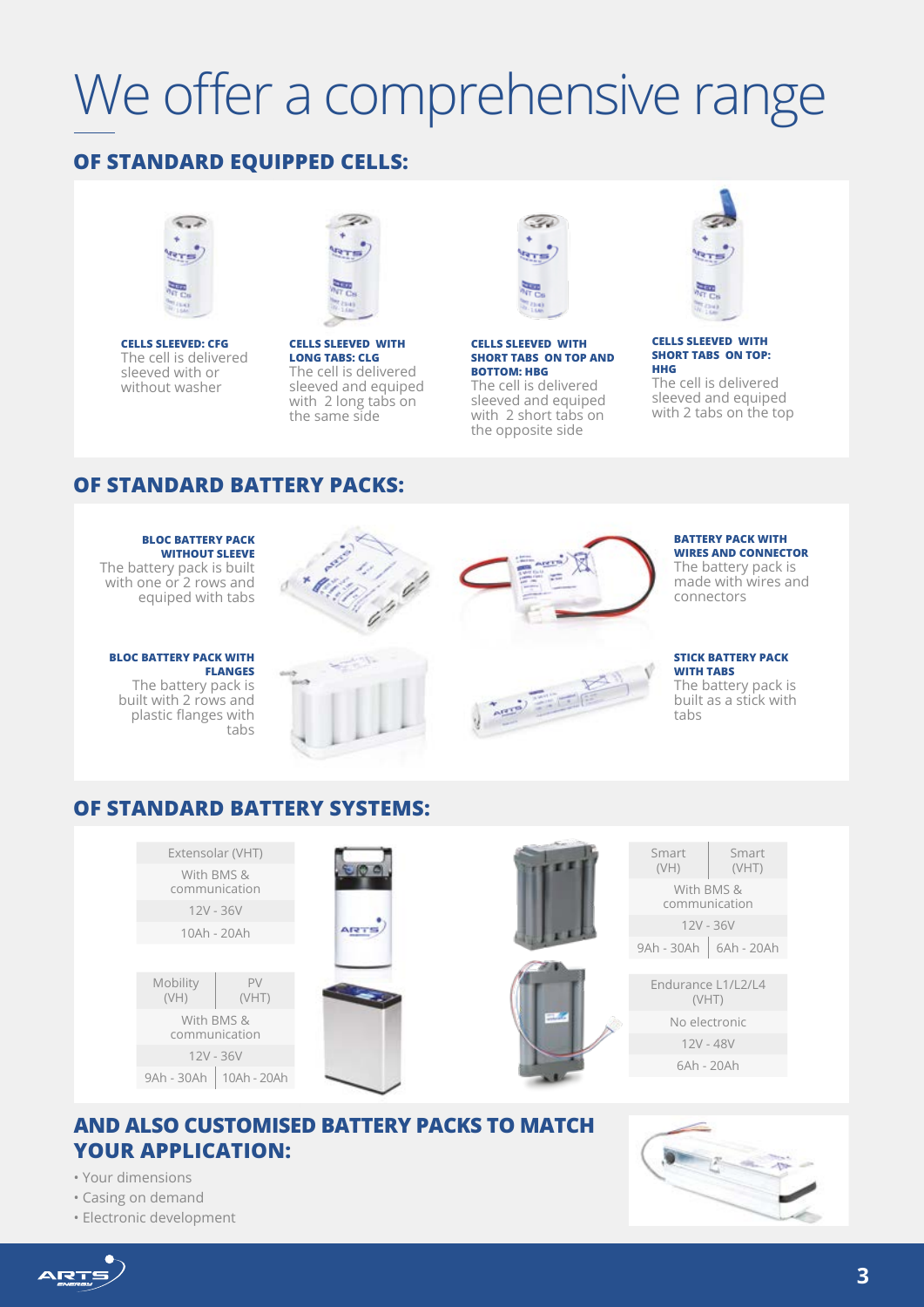# We offer a comprehensive range

## **OF STANDARD EQUIPPED CELLS:**



**CELLS SLEEVED: CFG**  The cell is delivered sleeved with or without washer



**CELLS SLEEVED WITH LONG TABS: CLG**  The cell is delivered sleeved and equiped with 2 long tabs on the same side



#### **CELLS SLEEVED WITH SHORT TABS ON TOP AND BOTTOM: HBG**

The cell is delivered sleeved and equiped with 2 short tabs on the opposite side



#### **CELLS SLEEVED WITH SHORT TABS ON TOP: HHG**

The cell is delivered sleeved and equiped with 2 tabs on the top

### **OF STANDARD BATTERY PACKS:**

#### **BLOC BATTERY PACK WITHOUT SLEEVE**

The battery pack is built with one or 2 rows and equiped with tabs

#### **BLOC BATTERY PACK WITH FLANGES**

The battery pack is built with 2 rows and plastic flanges with tabs





**Again** Engl

#### **BATTERY PACK WITH WIRES AND CONNECTOR** The battery pack is

made with wires and connectors

#### **STICK BATTERY PACK WITH TABS**

The battery pack is built as a stick with tabs

## **OF STANDARD BATTERY SYSTEMS:**



### **AND ALSO CUSTOMISED BATTERY PACKS TO MATCH YOUR APPLICATION:**

- Your dimensions
- Casing on demand
- Electronic development